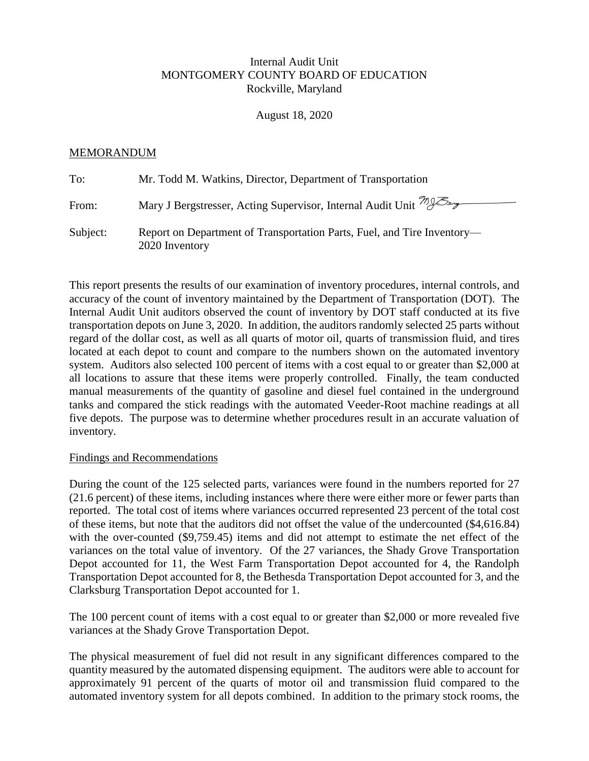## Internal Audit Unit MONTGOMERY COUNTY BOARD OF EDUCATION Rockville, Maryland

August 18, 2020

## MEMORANDUM

| To:      | Mr. Todd M. Watkins, Director, Department of Transportation                               |
|----------|-------------------------------------------------------------------------------------------|
| From:    | Mary J Bergstresser, Acting Supervisor, Internal Audit Unit 798                           |
| Subject: | Report on Department of Transportation Parts, Fuel, and Tire Inventory-<br>2020 Inventory |

This report presents the results of our examination of inventory procedures, internal controls, and accuracy of the count of inventory maintained by the Department of Transportation (DOT). The Internal Audit Unit auditors observed the count of inventory by DOT staff conducted at its five transportation depots on June 3, 2020. In addition, the auditors randomly selected 25 parts without regard of the dollar cost, as well as all quarts of motor oil, quarts of transmission fluid, and tires located at each depot to count and compare to the numbers shown on the automated inventory system. Auditors also selected 100 percent of items with a cost equal to or greater than \$2,000 at all locations to assure that these items were properly controlled. Finally, the team conducted manual measurements of the quantity of gasoline and diesel fuel contained in the underground tanks and compared the stick readings with the automated Veeder-Root machine readings at all five depots. The purpose was to determine whether procedures result in an accurate valuation of inventory.

## Findings and Recommendations

During the count of the 125 selected parts, variances were found in the numbers reported for 27 (21.6 percent) of these items, including instances where there were either more or fewer parts than reported. The total cost of items where variances occurred represented 23 percent of the total cost of these items, but note that the auditors did not offset the value of the undercounted (\$4,616.84) with the over-counted (\$9,759.45) items and did not attempt to estimate the net effect of the variances on the total value of inventory. Of the 27 variances, the Shady Grove Transportation Depot accounted for 11, the West Farm Transportation Depot accounted for 4, the Randolph Transportation Depot accounted for 8, the Bethesda Transportation Depot accounted for 3, and the Clarksburg Transportation Depot accounted for 1.

The 100 percent count of items with a cost equal to or greater than \$2,000 or more revealed five variances at the Shady Grove Transportation Depot.

The physical measurement of fuel did not result in any significant differences compared to the quantity measured by the automated dispensing equipment. The auditors were able to account for approximately 91 percent of the quarts of motor oil and transmission fluid compared to the automated inventory system for all depots combined. In addition to the primary stock rooms, the